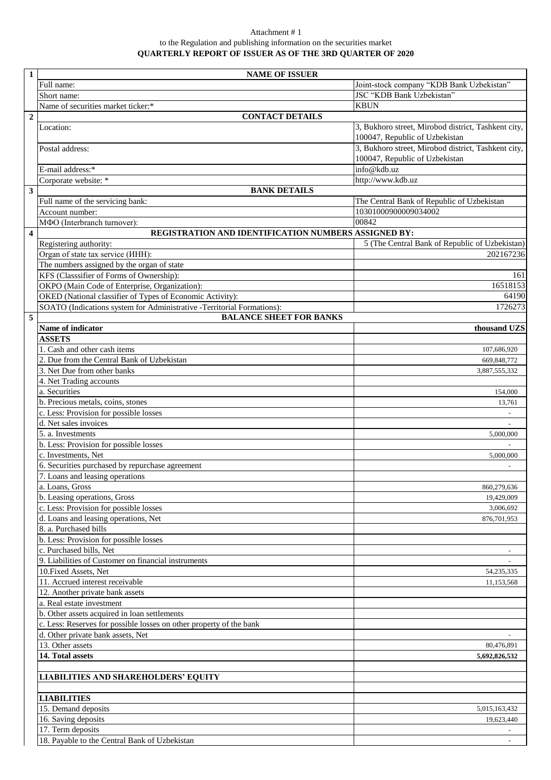## Attachment # 1 to the Regulation and publishing information on the securities market **QUARTERLY REPORT OF ISSUER AS OF THE 3RD QUARTER OF 2020**

| $\mathbf{1}$            | <b>NAME OF ISSUER</b>                                                  |                                                                                       |
|-------------------------|------------------------------------------------------------------------|---------------------------------------------------------------------------------------|
|                         | Full name:                                                             | Joint-stock company "KDB Bank Uzbekistan"                                             |
|                         | Short name:                                                            | JSC "KDB Bank Uzbekistan"                                                             |
|                         | Name of securities market ticker:*                                     | <b>KBUN</b>                                                                           |
| $\boldsymbol{2}$        | <b>CONTACT DETAILS</b>                                                 |                                                                                       |
|                         | Location:                                                              | 3, Bukhoro street, Mirobod district, Tashkent city,<br>100047, Republic of Uzbekistan |
|                         | Postal address:                                                        | 3, Bukhoro street, Mirobod district, Tashkent city,<br>100047, Republic of Uzbekistan |
|                         | E-mail address:*                                                       | info@kdb.uz                                                                           |
|                         | Corporate website: *                                                   | http://www.kdb.uz                                                                     |
| $\mathbf{3}$            | <b>BANK DETAILS</b>                                                    |                                                                                       |
|                         | Full name of the servicing bank:                                       | The Central Bank of Republic of Uzbekistan                                            |
|                         | Account number:                                                        | 10301000900009034002                                                                  |
|                         | МФО (Interbranch turnover):                                            | 00842                                                                                 |
| $\overline{\mathbf{4}}$ | REGISTRATION AND IDENTIFICATION NUMBERS ASSIGNED BY:                   |                                                                                       |
|                         | Registering authority:                                                 | 5 (The Central Bank of Republic of Uzbekistan)                                        |
|                         | Organ of state tax service ( <i>HHH</i> ):                             | 202167236                                                                             |
|                         | The numbers assigned by the organ of state                             |                                                                                       |
|                         | KFS (Classsifier of Forms of Ownership):                               | 161                                                                                   |
|                         | OKPO (Main Code of Enterprise, Organization):                          | 16518153                                                                              |
|                         | OKED (National classifier of Types of Economic Activity):              | 64190                                                                                 |
|                         | SOATO (Indications system for Administrative -Territorial Formations): | 1726273                                                                               |
| 5                       | <b>BALANCE SHEET FOR BANKS</b>                                         |                                                                                       |
|                         | Name of indicator                                                      | thousand UZS                                                                          |
|                         | <b>ASSETS</b>                                                          |                                                                                       |
|                         | 1. Cash and other cash items                                           | 107,686,920                                                                           |
|                         | 2. Due from the Central Bank of Uzbekistan                             | 669,848,772                                                                           |
|                         | 3. Net Due from other banks                                            | 3,887,555,332                                                                         |
|                         | 4. Net Trading accounts                                                |                                                                                       |
|                         | a. Securities                                                          | 154,000                                                                               |
|                         | b. Precious metals, coins, stones                                      | 13,761                                                                                |
|                         | c. Less: Provision for possible losses                                 |                                                                                       |
|                         | d. Net sales invoices                                                  |                                                                                       |
|                         | 5. a. Investments                                                      | 5,000,000                                                                             |
|                         | b. Less: Provision for possible losses                                 |                                                                                       |
|                         | c. Investments, Net                                                    | 5,000,000                                                                             |
|                         | 6. Securities purchased by repurchase agreement                        |                                                                                       |
|                         | 7. Loans and leasing operations                                        |                                                                                       |
|                         | a. Loans, Gross                                                        | 860,279,636                                                                           |
|                         | b. Leasing operations, Gross                                           | 19,429,009                                                                            |
|                         | c. Less: Provision for possible losses                                 | 3,006,692                                                                             |
|                         | d. Loans and leasing operations, Net                                   | 876,701,953                                                                           |
|                         | 8. a. Purchased bills                                                  |                                                                                       |
|                         | b. Less: Provision for possible losses                                 |                                                                                       |
|                         | c. Purchased bills, Net                                                |                                                                                       |
|                         | 9. Liabilities of Customer on financial instruments                    |                                                                                       |
|                         | 10. Fixed Assets, Net                                                  | 54, 235, 335                                                                          |
|                         | 11. Accrued interest receivable                                        | 11,153,568                                                                            |
|                         | 12. Another private bank assets                                        |                                                                                       |
|                         | a. Real estate investment                                              |                                                                                       |
|                         | b. Other assets acquired in loan settlements                           |                                                                                       |
|                         | c. Less: Reserves for possible losses on other property of the bank    |                                                                                       |
|                         | d. Other private bank assets, Net                                      |                                                                                       |
|                         | 13. Other assets                                                       | 80,476,891                                                                            |
|                         | 14. Total assets                                                       | 5,692,826,532                                                                         |
|                         |                                                                        |                                                                                       |
|                         | <b>LIABILITIES AND SHAREHOLDERS' EQUITY</b>                            |                                                                                       |
|                         |                                                                        |                                                                                       |
|                         | <b>LIABILITIES</b>                                                     |                                                                                       |
|                         | 15. Demand deposits                                                    | 5,015,163,432                                                                         |
|                         | 16. Saving deposits                                                    | 19,623,440                                                                            |
|                         | 17. Term deposits                                                      |                                                                                       |
|                         | 18. Payable to the Central Bank of Uzbekistan                          |                                                                                       |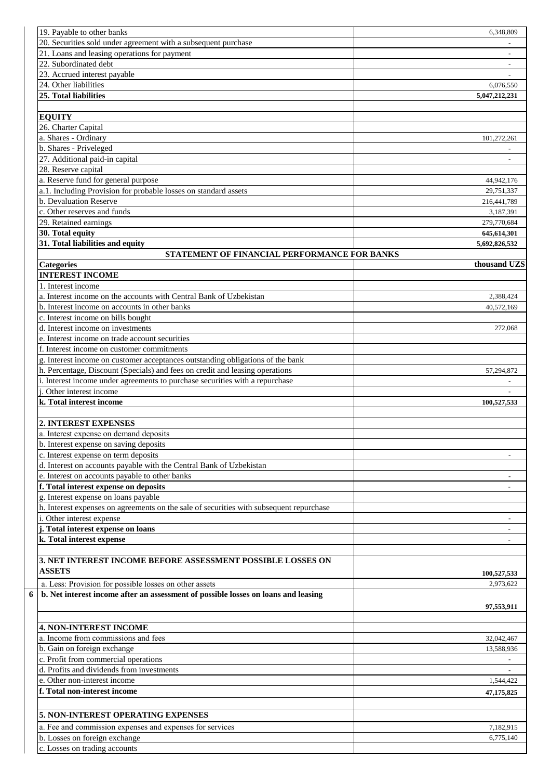| 19. Payable to other banks                                                              | 6,348,809      |
|-----------------------------------------------------------------------------------------|----------------|
| 20. Securities sold under agreement with a subsequent purchase                          |                |
| 21. Loans and leasing operations for payment                                            |                |
| 22. Subordinated debt                                                                   |                |
| 23. Accrued interest payable                                                            |                |
| 24. Other liabilities                                                                   | 6,076,550      |
| 25. Total liabilities                                                                   |                |
|                                                                                         | 5,047,212,231  |
|                                                                                         |                |
| <b>EQUITY</b>                                                                           |                |
| 26. Charter Capital                                                                     |                |
| a. Shares - Ordinary                                                                    | 101,272,261    |
| b. Shares - Priveleged                                                                  |                |
| 27. Additional paid-in capital                                                          |                |
| 28. Reserve capital                                                                     |                |
| a. Reserve fund for general purpose                                                     | 44,942,176     |
| a.1. Including Provision for probable losses on standard assets                         | 29,751,337     |
|                                                                                         |                |
| b. Devaluation Reserve                                                                  | 216,441,789    |
| c. Other reserves and funds                                                             | 3,187,391      |
| 29. Retained earnings                                                                   | 279,770.684    |
| 30. Total equity                                                                        | 645,614,301    |
| 31. Total liabilities and equity                                                        | 5,692,826,532  |
| STATEMENT OF FINANCIAL PERFORMANCE FOR BANKS                                            |                |
|                                                                                         | thousand UZS   |
| <b>Categories</b>                                                                       |                |
| <b>INTEREST INCOME</b>                                                                  |                |
| 1. Interest income                                                                      |                |
| a. Interest income on the accounts with Central Bank of Uzbekistan                      | 2,388,424      |
| b. Interest income on accounts in other banks                                           | 40,572,169     |
| c. Interest income on bills bought                                                      |                |
| d. Interest income on investments                                                       | 272,068        |
| e. Interest income on trade account securities                                          |                |
| f. Interest income on customer commitments                                              |                |
|                                                                                         |                |
| g. Interest income on customer acceptances outstanding obligations of the bank          |                |
| h. Percentage, Discount (Specials) and fees on credit and leasing operations            | 57,294,872     |
| i. Interest income under agreements to purchase securities with a repurchase            |                |
| <i>i</i> . Other interest income                                                        |                |
| k. Total interest income                                                                | 100,527,533    |
|                                                                                         |                |
| <b>2. INTEREST EXPENSES</b>                                                             |                |
| a. Interest expense on demand deposits                                                  |                |
|                                                                                         |                |
| b. Interest expense on saving deposits                                                  |                |
| c. Interest expense on term deposits                                                    |                |
| d. Interest on accounts payable with the Central Bank of Uzbekistan                     |                |
| e. Interest on accounts payable to other banks                                          |                |
| f. Total interest expense on deposits                                                   |                |
| g. Interest expense on loans payable                                                    |                |
| h. Interest expenses on agreements on the sale of securities with subsequent repurchase |                |
|                                                                                         |                |
| i. Other interest expense                                                               |                |
| j. Total interest expense on loans                                                      | $\blacksquare$ |
| k. Total interest expense                                                               |                |
|                                                                                         |                |
| 3. NET INTEREST INCOME BEFORE ASSESSMENT POSSIBLE LOSSES ON                             |                |
| <b>ASSETS</b>                                                                           |                |
|                                                                                         | 100,527,533    |
| a. Less: Provision for possible losses on other assets                                  | 2,973,622      |
| b. Net interest income after an assessment of possible losses on loans and leasing      |                |
|                                                                                         | 97,553,911     |
|                                                                                         |                |
|                                                                                         |                |
| <b>4. NON-INTEREST INCOME</b>                                                           |                |
| a. Income from commissions and fees                                                     |                |
|                                                                                         | 32,042,467     |
| b. Gain on foreign exchange                                                             | 13,588,936     |
| c. Profit from commercial operations                                                    |                |
| d. Profits and dividends from investments                                               |                |
|                                                                                         | 1,544,422      |
| e. Other non-interest income                                                            |                |
| f. Total non-interest income                                                            | 47,175,825     |
|                                                                                         |                |
| 5. NON-INTEREST OPERATING EXPENSES                                                      |                |
|                                                                                         |                |
| a. Fee and commission expenses and expenses for services                                | 7,182,915      |
| b. Losses on foreign exchange<br>c. Losses on trading accounts                          | 6,775,140      |